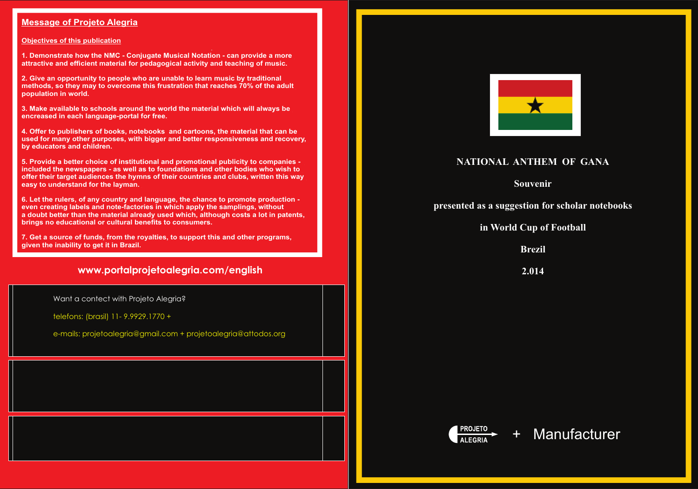### **Message of Projeto Alegria**

### **Objectives of this publication**

**1. Demonstrate how the NMC - Conjugate Musical Notation - can provide a more attractive and efficient material for pedagogical activity and teaching of music.**

**2. Give an opportunity to people who are unable to learn music by traditional methods, so they may to overcome this frustration that reaches 70% of the adult population in world.**

**3. Make available to schools around the world the material which will always be encreased in each language-portal for free.**

**4. Offer to publishers of books, notebooks and cartoons, the material that can be used for many other purposes, with bigger and better responsiveness and recovery, by educators and children.**

**5. Provide a better choice of institutional and promotional publicity to companies included the newspapers - as well as to foundations and other bodies who wish to offer their target audiences the hymns of their countries and clubs, written this way easy to understand for the layman.** 

**6. Let the rulers, of any country and language, the chance to promote production even creating labels and note-factories in which apply the samplings, without a doubt better than the material already used which, although costs a lot in patents, brings no educational or cultural benefits to consumers.**

**7. Get a source of funds, from the royalties, to support this and other programs, given the inability to get it in Brazil.**

## **www.portalprojetoalegria.com/english**

# **NATIONAL ANTHEM OF GANA**

**Souvenir**

**presented as a suggestion for scholar notebooks**

**in World Cup of Football**

**Brezil**

**2.014**





Want a contect with Projeto Alegria?

telefons: (brasil) 11- 9.9929.1770 +

e-mails: projetoalegria@gmail.com + projetoalegria@attodos.org

# + Manufacturer